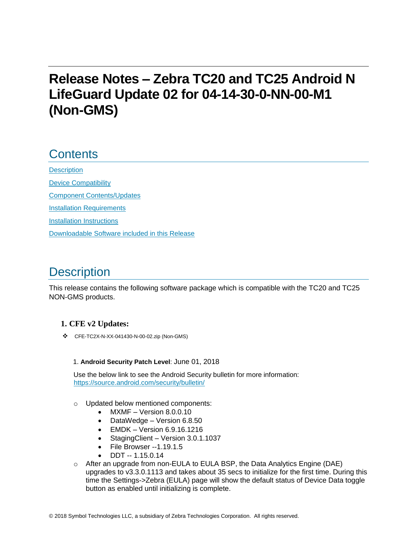# **Release Notes – Zebra TC20 and TC25 Android N LifeGuard Update 02 for 04-14-30-0-NN-00-M1 (Non-GMS)**

## **Contents**

**[Description](#page-0-0)** [Device Compatibility](#page-1-0) [Component Contents/Updates](#page-2-0) [Installation Requirements](#page-2-1) [Installation Instructions](#page-3-0) [Downloadable Software included in this Release](#page-4-0)

# <span id="page-0-0"></span>**Description**

This release contains the following software package which is compatible with the TC20 and TC25 NON-GMS products.

### **1. CFE v2 Updates:**

❖ CFE-TC2X-N-XX-041430-N-00-02.zip (Non-GMS)

#### 1. **Android Security Patch Level**: June 01, 2018

Use the below link to see the Android Security bulletin for more information: <https://source.android.com/security/bulletin/>

- o Updated below mentioned components:
	- MXMF Version 8.0.0.10
	- DataWedge Version 6.8.50
	- EMDK Version 6.9.16.1216
	- StagingClient Version 3.0.1.1037
	- File Browser --1.19.1.5
	- DDT -- 1.15.0.14
- $\circ$  After an upgrade from non-EULA to EULA BSP, the Data Analytics Engine (DAE) upgrades to v3.3.0.1113 and takes about 35 secs to initialize for the first time. During this time the Settings->Zebra (EULA) page will show the default status of Device Data toggle button as enabled until initializing is complete.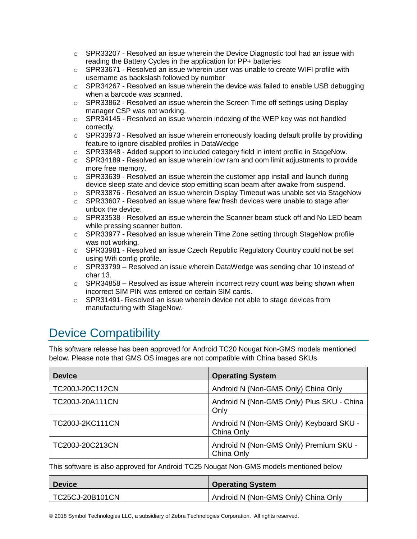- $\circ$  SPR33207 Resolved an issue wherein the Device Diagnostic tool had an issue with reading the Battery Cycles in the application for PP+ batteries
- $\circ$  SPR33671 Resolved an issue wherein user was unable to create WIFI profile with username as backslash followed by number
- $\circ$  SPR34267 Resolved an issue wherein the device was failed to enable USB debugging when a barcode was scanned.
- $\circ$  SPR33862 Resolved an issue wherein the Screen Time off settings using Display manager CSP was not working.
- $\circ$  SPR34145 Resolved an issue wherein indexing of the WEP key was not handled correctly.
- $\circ$  SPR33973 Resolved an issue wherein erroneously loading default profile by providing feature to ignore disabled profiles in DataWedge
- $\circ$  SPR33848 Added support to included category field in intent profile in StageNow.
- $\circ$  SPR34189 Resolved an issue wherein low ram and oom limit adjustments to provide more free memory.
- $\circ$  SPR33639 Resolved an issue wherein the customer app install and launch during device sleep state and device stop emitting scan beam after awake from suspend.
- $\circ$  SPR33876 Resolved an issue wherein Display Timeout was unable set via StageNow
- $\circ$  SPR33607 Resolved an issue where few fresh devices were unable to stage after unbox the device.
- $\circ$  SPR33538 Resolved an issue wherein the Scanner beam stuck off and No LED beam while pressing scanner button.
- $\circ$  SPR33977 Resolved an issue wherein Time Zone setting through StageNow profile was not working.
- $\circ$  SPR33981 Resolved an issue Czech Republic Regulatory Country could not be set using Wifi config profile.
- o SPR33799 Resolved an issue wherein DataWedge was sending char 10 instead of char 13.
- $\circ$  SPR34858 Resolved as issue wherein incorrect retry count was being shown when incorrect SIM PIN was entered on certain SIM cards.
- $\circ$  SPR31491- Resolved an issue wherein device not able to stage devices from manufacturing with StageNow.

# <span id="page-1-0"></span>Device Compatibility

This software release has been approved for Android TC20 Nougat Non-GMS models mentioned below. Please note that GMS OS images are not compatible with China based SKUs

| <b>Device</b>          | <b>Operating System</b>                               |
|------------------------|-------------------------------------------------------|
| TC200J-20C112CN        | Android N (Non-GMS Only) China Only                   |
| TC200J-20A111CN        | Android N (Non-GMS Only) Plus SKU - China<br>Only     |
| <b>TC200J-2KC111CN</b> | Android N (Non-GMS Only) Keyboard SKU -<br>China Only |
| TC200J-20C213CN        | Android N (Non-GMS Only) Premium SKU -<br>China Only  |

This software is also approved for Android TC25 Nougat Non-GMS models mentioned below

| <b>Device</b>   | <b>Operating System</b>             |
|-----------------|-------------------------------------|
| TC25CJ-20B101CN | Android N (Non-GMS Only) China Only |

© 2018 Symbol Technologies LLC, a subsidiary of Zebra Technologies Corporation. All rights reserved.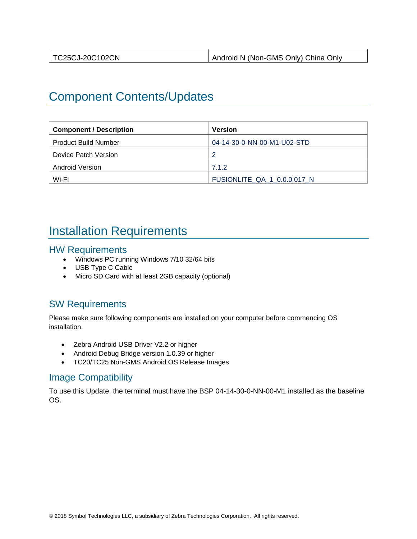| TC25CJ-20C102CN | Android N (Non-GMS Only) China Only |
|-----------------|-------------------------------------|

## <span id="page-2-0"></span>Component Contents/Updates

| <b>Component / Description</b> | Version                     |
|--------------------------------|-----------------------------|
| <b>Product Build Number</b>    | 04-14-30-0-NN-00-M1-U02-STD |
| Device Patch Version           | 2                           |
| Android Version                | 7.1.2                       |
| Wi-Fi                          | FUSIONLITE QA 1 0.0.0.017 N |

### <span id="page-2-1"></span>Installation Requirements

#### HW Requirements

- Windows PC running Windows 7/10 32/64 bits
- USB Type C Cable
- Micro SD Card with at least 2GB capacity (optional)

### SW Requirements

Please make sure following components are installed on your computer before commencing OS installation.

- Zebra Android USB Driver V2.2 or higher
- Android Debug Bridge version 1.0.39 or higher
- TC20/TC25 Non-GMS Android OS Release Images

### Image Compatibility

To use this Update, the terminal must have the BSP 04-14-30-0-NN-00-M1 installed as the baseline OS.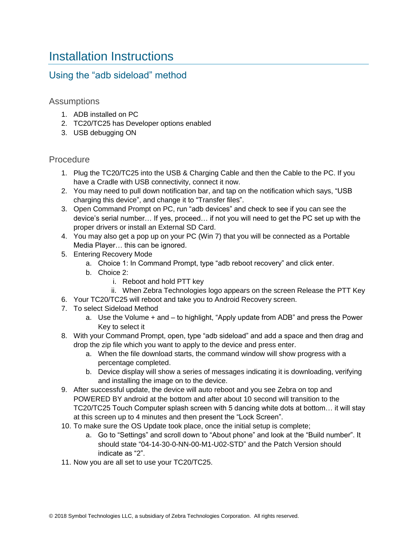# <span id="page-3-0"></span>Installation Instructions

### Using the "adb sideload" method

#### Assumptions

- 1. ADB installed on PC
- 2. TC20/TC25 has Developer options enabled
- 3. USB debugging ON

#### Procedure

- 1. Plug the TC20/TC25 into the USB & Charging Cable and then the Cable to the PC. If you have a Cradle with USB connectivity, connect it now.
- 2. You may need to pull down notification bar, and tap on the notification which says, "USB charging this device", and change it to "Transfer files".
- 3. Open Command Prompt on PC, run "adb devices" and check to see if you can see the device's serial number… If yes, proceed… if not you will need to get the PC set up with the proper drivers or install an External SD Card.
- 4. You may also get a pop up on your PC (Win 7) that you will be connected as a Portable Media Player… this can be ignored.
- 5. Entering Recovery Mode
	- a. Choice 1: In Command Prompt, type "adb reboot recovery" and click enter.
	- b. Choice 2:
		- i. Reboot and hold PTT key
	- ii. When Zebra Technologies logo appears on the screen Release the PTT Key
- 6. Your TC20/TC25 will reboot and take you to Android Recovery screen.
- 7. To select Sideload Method
	- a. Use the Volume + and to highlight, "Apply update from ADB" and press the Power Key to select it
- 8. With your Command Prompt, open, type "adb sideload" and add a space and then drag and drop the zip file which you want to apply to the device and press enter.
	- a. When the file download starts, the command window will show progress with a percentage completed.
	- b. Device display will show a series of messages indicating it is downloading, verifying and installing the image on to the device.
- 9. After successful update, the device will auto reboot and you see Zebra on top and POWERED BY android at the bottom and after about 10 second will transition to the TC20/TC25 Touch Computer splash screen with 5 dancing white dots at bottom… it will stay at this screen up to 4 minutes and then present the "Lock Screen".
- 10. To make sure the OS Update took place, once the initial setup is complete;
	- a. Go to "Settings" and scroll down to "About phone" and look at the "Build number". It should state "04-14-30-0-NN-00-M1-U02-STD" and the Patch Version should indicate as "2".
- 11. Now you are all set to use your TC20/TC25.